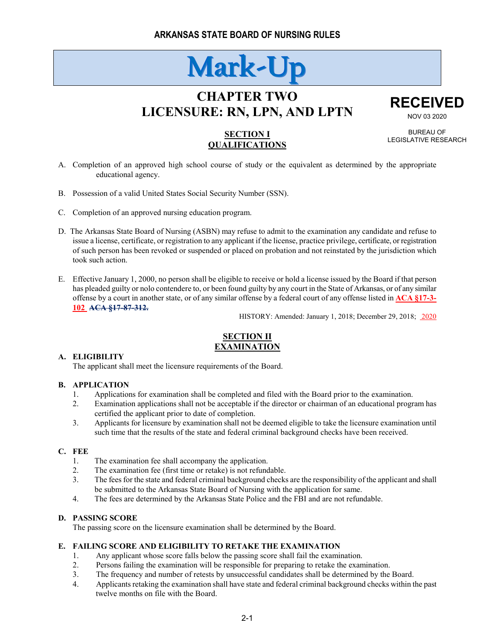# **Mark-Up**

# **CHAPTER TWO LICENSURE: RN, LPN, AND LPTN**



NOV 03 2020 BUREAU OF

LEGISLATIVE RESEARCH

**SECTION I QUALIFICATIONS**

- A. Completion of an approved high school course of study or the equivalent as determined by the appropriate educational agency.
- B. Possession of a valid United States Social Security Number (SSN).
- C. Completion of an approved nursing education program.
- D. The Arkansas State Board of Nursing (ASBN) may refuse to admit to the examination any candidate and refuse to issue a license, certificate, or registration to any applicant if the license, practice privilege, certificate, or registration of such person has been revoked or suspended or placed on probation and not reinstated by the jurisdiction which took such action.
- E. Effective January 1, 2000, no person shall be eligible to receive or hold a license issued by the Board if that person has pleaded guilty or nolo contendere to, or been found guilty by any court in the State of Arkansas, or of any similar offense by a court in another state, or of any similar offense by a federal court of any offense listed in **ACA §17-3- 102 ACA §17-87-312.**

HISTORY: Amended: January 1, 2018; December 29, 2018; 2020

# **SECTION II EXAMINATION**

#### **A. ELIGIBILITY**

The applicant shall meet the licensure requirements of the Board.

#### **B. APPLICATION**

- 1. Applications for examination shall be completed and filed with the Board prior to the examination.
- 2. Examination applications shall not be acceptable if the director or chairman of an educational program has certified the applicant prior to date of completion.
- 3. Applicants for licensure by examination shall not be deemed eligible to take the licensure examination until such time that the results of the state and federal criminal background checks have been received.

# **C. FEE**

- 1. The examination fee shall accompany the application.
- 2. The examination fee (first time or retake) is not refundable.
- 3. The fees for the state and federal criminal background checks are the responsibility of the applicant and shall be submitted to the Arkansas State Board of Nursing with the application for same.
- 4. The fees are determined by the Arkansas State Police and the FBI and are not refundable.

#### **D. PASSING SCORE**

The passing score on the licensure examination shall be determined by the Board.

# **E. FAILING SCORE AND ELIGIBILITY TO RETAKE THE EXAMINATION**

- 1. Any applicant whose score falls below the passing score shall fail the examination.
- 2. Persons failing the examination will be responsible for preparing to retake the examination.
- 3. The frequency and number of retests by unsuccessful candidates shall be determined by the Board.
- 4. Applicants retaking the examination shall have state and federal criminal background checks within the past twelve months on file with the Board.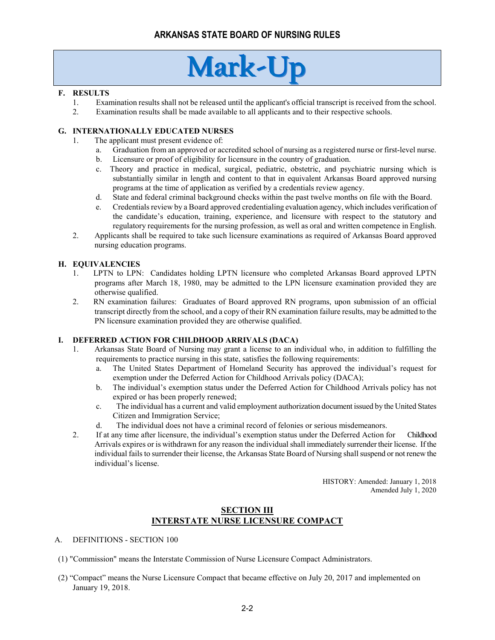# **Mark-Up**

### **F. RESULTS**

- 1. Examination results shall not be released until the applicant's official transcript is received from the school.
- 2. Examination results shall be made available to all applicants and to their respective schools.

# **G. INTERNATIONALLY EDUCATED NURSES**

- 1. The applicant must present evidence of:
	- a. Graduation from an approved or accredited school of nursing as a registered nurse or first-level nurse.
	- b. Licensure or proof of eligibility for licensure in the country of graduation.
	- c. Theory and practice in medical, surgical, pediatric, obstetric, and psychiatric nursing which is substantially similar in length and content to that in equivalent Arkansas Board approved nursing programs at the time of application as verified by a credentials review agency.
	- d. State and federal criminal background checks within the past twelve months on file with the Board.
	- e. Credentials review by a Board approved credentialing evaluation agency, which includes verification of the candidate's education, training, experience, and licensure with respect to the statutory and regulatory requirements for the nursing profession, as well as oral and written competence in English.
- 2. Applicants shall be required to take such licensure examinations as required of Arkansas Board approved nursing education programs.

### **H. EQUIVALENCIES**

- 1. LPTN to LPN: Candidates holding LPTN licensure who completed Arkansas Board approved LPTN programs after March 18, 1980, may be admitted to the LPN licensure examination provided they are otherwise qualified.
- 2. RN examination failures: Graduates of Board approved RN programs, upon submission of an official transcript directly from the school, and a copy of their RN examination failure results, may be admitted to the PN licensure examination provided they are otherwise qualified.

#### **I. DEFERRED ACTION FOR CHILDHOOD ARRIVALS (DACA)**

- 1. Arkansas State Board of Nursing may grant a license to an individual who, in addition to fulfilling the requirements to practice nursing in this state, satisfies the following requirements:
	- a. The United States Department of Homeland Security has approved the individual's request for exemption under the Deferred Action for Childhood Arrivals policy (DACA);
	- b. The individual's exemption status under the Deferred Action for Childhood Arrivals policy has not expired or has been properly renewed;
	- c. The individual has a current and valid employment authorization document issued by the United States Citizen and Immigration Service;
	- d. The individual does not have a criminal record of felonies or serious misdemeanors.
- 2. If at any time after licensure, the individual's exemption status under the Deferred Action for Childhood Arrivals expires or is withdrawn for any reason the individual shall immediately surrender their license. If the individual fails to surrender their license, the Arkansas State Board of Nursing shall suspend or not renew the individual's license.

HISTORY: Amended: January 1, 2018 Amended July 1, 2020

# **SECTION III INTERSTATE NURSE LICENSURE COMPACT**

- A. DEFINITIONS SECTION 100
- (1) "Commission" means the Interstate Commission of Nurse Licensure Compact Administrators.
- (2) "Compact" means the Nurse Licensure Compact that became effective on July 20, 2017 and implemented on January 19, 2018.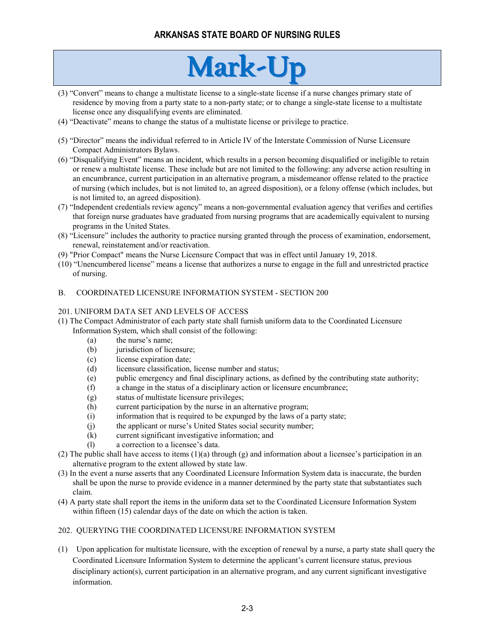# **Mark-Up**

- (3) "Convert" means to change a multistate license to a single-state license if a nurse changes primary state of residence by moving from a party state to a non-party state; or to change a single-state license to a multistate license once any disqualifying events are eliminated.
- (4) "Deactivate" means to change the status of a multistate license or privilege to practice.
- (5) "Director" means the individual referred to in Article IV of the Interstate Commission of Nurse Licensure Compact Administrators Bylaws.
- (6) "Disqualifying Event" means an incident, which results in a person becoming disqualified or ineligible to retain or renew a multistate license. These include but are not limited to the following: any adverse action resulting in an encumbrance, current participation in an alternative program, a misdemeanor offense related to the practice of nursing (which includes, but is not limited to, an agreed disposition), or a felony offense (which includes, but is not limited to, an agreed disposition).
- (7) "Independent credentials review agency" means a non-governmental evaluation agency that verifies and certifies that foreign nurse graduates have graduated from nursing programs that are academically equivalent to nursing programs in the United States.
- (8) "Licensure" includes the authority to practice nursing granted through the process of examination, endorsement, renewal, reinstatement and/or reactivation.
- (9) "Prior Compact" means the Nurse Licensure Compact that was in effect until January 19, 2018.
- (10) "Unencumbered license" means a license that authorizes a nurse to engage in the full and unrestricted practice of nursing.

#### B. COORDINATED LICENSURE INFORMATION SYSTEM - SECTION 200

#### 201. UNIFORM DATA SET AND LEVELS OF ACCESS

- (1) The Compact Administrator of each party state shall furnish uniform data to the Coordinated Licensure Information System, which shall consist of the following:
	- (a) the nurse's name;
	- (b) jurisdiction of licensure;
	- (c) license expiration date;
	- (d) licensure classification, license number and status;
	- (e) public emergency and final disciplinary actions, as defined by the contributing state authority;
	- (f) a change in the status of a disciplinary action or licensure encumbrance;
	- (g) status of multistate licensure privileges;
	- (h) current participation by the nurse in an alternative program;
	- (i) information that is required to be expunged by the laws of a party state;
	- (j) the applicant or nurse's United States social security number;
	- (k) current significant investigative information; and
	- (l) a correction to a licensee's data.
- (2) The public shall have access to items  $(1)(a)$  through  $(g)$  and information about a licensee's participation in an alternative program to the extent allowed by state law.
- (3) In the event a nurse asserts that any Coordinated Licensure Information System data is inaccurate, the burden shall be upon the nurse to provide evidence in a manner determined by the party state that substantiates such claim.
- (4) A party state shall report the items in the uniform data set to the Coordinated Licensure Information System within fifteen (15) calendar days of the date on which the action is taken.

#### 202. QUERYING THE COORDINATED LICENSURE INFORMATION SYSTEM

(1) Upon application for multistate licensure, with the exception of renewal by a nurse, a party state shall query the Coordinated Licensure Information System to determine the applicant's current licensure status, previous disciplinary action(s), current participation in an alternative program, and any current significant investigative information.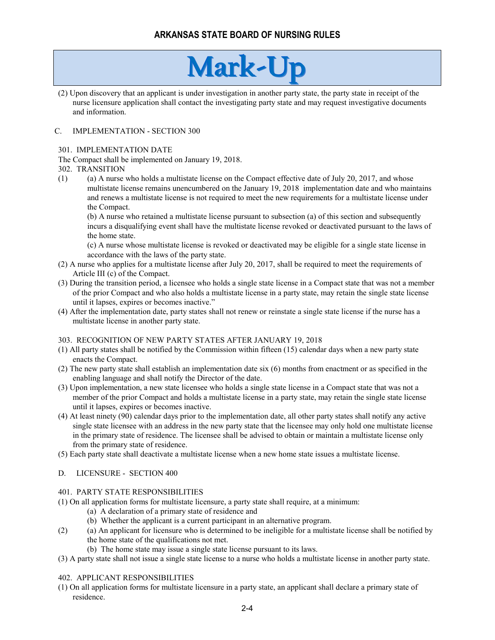# **Mark-Up**

(2) Upon discovery that an applicant is under investigation in another party state, the party state in receipt of the nurse licensure application shall contact the investigating party state and may request investigative documents and information.

### C. IMPLEMENTATION - SECTION 300

#### 301. IMPLEMENTATION DATE

The Compact shall be implemented on January 19, 2018.

#### 302. TRANSITION

 $(1)$  (a) A nurse who holds a multistate license on the Compact effective date of July 20, 2017, and whose multistate license remains unencumbered on the January 19, 2018 implementation date and who maintains and renews a multistate license is not required to meet the new requirements for a multistate license under the Compact.

(b) A nurse who retained a multistate license pursuant to subsection (a) of this section and subsequently incurs a disqualifying event shall have the multistate license revoked or deactivated pursuant to the laws of the home state.

(c) A nurse whose multistate license is revoked or deactivated may be eligible for a single state license in accordance with the laws of the party state.

- (2) A nurse who applies for a multistate license after July 20, 2017, shall be required to meet the requirements of Article III (c) of the Compact.
- (3) During the transition period, a licensee who holds a single state license in a Compact state that was not a member of the prior Compact and who also holds a multistate license in a party state, may retain the single state license until it lapses, expires or becomes inactive."
- (4) After the implementation date, party states shall not renew or reinstate a single state license if the nurse has a multistate license in another party state.

#### 303. RECOGNITION OF NEW PARTY STATES AFTER JANUARY 19, 2018

- (1) All party states shall be notified by the Commission within fifteen (15) calendar days when a new party state enacts the Compact.
- (2) The new party state shall establish an implementation date six (6) months from enactment or as specified in the enabling language and shall notify the Director of the date.
- (3) Upon implementation, a new state licensee who holds a single state license in a Compact state that was not a member of the prior Compact and holds a multistate license in a party state, may retain the single state license until it lapses, expires or becomes inactive.
- (4) At least ninety (90) calendar days prior to the implementation date, all other party states shall notify any active single state licensee with an address in the new party state that the licensee may only hold one multistate license in the primary state of residence. The licensee shall be advised to obtain or maintain a multistate license only from the primary state of residence.
- (5) Each party state shall deactivate a multistate license when a new home state issues a multistate license.

#### D. LICENSURE - SECTION 400

#### 401. PARTY STATE RESPONSIBILITIES

- (1) On all application forms for multistate licensure, a party state shall require, at a minimum:
	- (a) A declaration of a primary state of residence and
	- (b) Whether the applicant is a current participant in an alternative program.
- (2) (a) An applicant for licensure who is determined to be ineligible for a multistate license shall be notified by the home state of the qualifications not met.
	- (b) The home state may issue a single state license pursuant to its laws.
- (3) A party state shall not issue a single state license to a nurse who holds a multistate license in another party state.

### 402. APPLICANT RESPONSIBILITIES

(1) On all application forms for multistate licensure in a party state, an applicant shall declare a primary state of residence.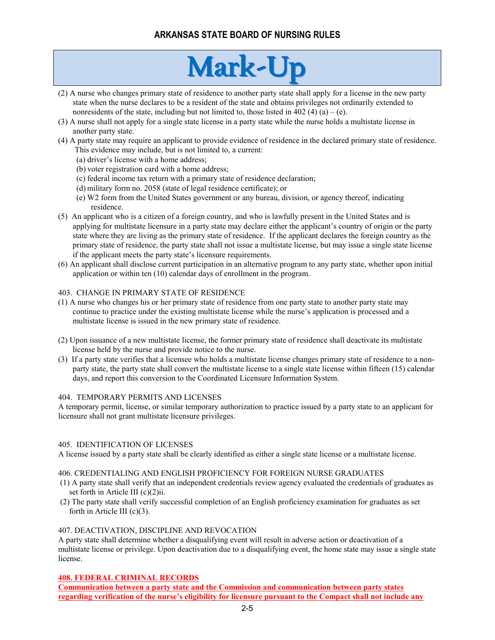# **Mark-Up**

- (2) A nurse who changes primary state of residence to another party state shall apply for a license in the new party state when the nurse declares to be a resident of the state and obtains privileges not ordinarily extended to nonresidents of the state, including but not limited to, those listed in 402 (4) (a) – (e).
- (3) A nurse shall not apply for a single state license in a party state while the nurse holds a multistate license in another party state.
- (4) A party state may require an applicant to provide evidence of residence in the declared primary state of residence. This evidence may include, but is not limited to, a current:
	- (a) driver's license with a home address;
	- (b) voter registration card with a home address;
	- (c) federal income tax return with a primary state of residence declaration;
	- (d) military form no. 2058 (state of legal residence certificate); or
	- (e) W2 form from the United States government or any bureau, division, or agency thereof, indicating residence.
- (5) An applicant who is a citizen of a foreign country, and who is lawfully present in the United States and is applying for multistate licensure in a party state may declare either the applicant's country of origin or the party state where they are living as the primary state of residence. If the applicant declares the foreign country as the primary state of residence, the party state shall not issue a multistate license, but may issue a single state license if the applicant meets the party state's licensure requirements.
- (6) An applicant shall disclose current participation in an alternative program to any party state, whether upon initial application or within ten (10) calendar days of enrollment in the program.

#### 403. CHANGE IN PRIMARY STATE OF RESIDENCE

- (1) A nurse who changes his or her primary state of residence from one party state to another party state may continue to practice under the existing multistate license while the nurse's application is processed and a multistate license is issued in the new primary state of residence.
- (2) Upon issuance of a new multistate license, the former primary state of residence shall deactivate its multistate license held by the nurse and provide notice to the nurse.
- (3) If a party state verifies that a licensee who holds a multistate license changes primary state of residence to a nonparty state, the party state shall convert the multistate license to a single state license within fifteen (15) calendar days, and report this conversion to the Coordinated Licensure Information System.

#### 404. TEMPORARY PERMITS AND LICENSES

A temporary permit, license, or similar temporary authorization to practice issued by a party state to an applicant for licensure shall not grant multistate licensure privileges.

#### 405. IDENTIFICATION OF LICENSES

A license issued by a party state shall be clearly identified as either a single state license or a multistate license.

#### 406. CREDENTIALING AND ENGLISH PROFICIENCY FOR FOREIGN NURSE GRADUATES

- (1) A party state shall verify that an independent credentials review agency evaluated the credentials of graduates as set forth in Article III (c)(2)ii.
- (2) The party state shall verify successful completion of an English proficiency examination for graduates as set forth in Article III (c)(3).

### 407. DEACTIVATION, DISCIPLINE AND REVOCATION

A party state shall determine whether a disqualifying event will result in adverse action or deactivation of a multistate license or privilege. Upon deactivation due to a disqualifying event, the home state may issue a single state license.

#### **408. FEDERAL CRIMINAL RECORDS**

**Communication between a party state and the Commission and communication between party states regarding verification of the nurse's eligibility for licensure pursuant to the Compact shall not include any**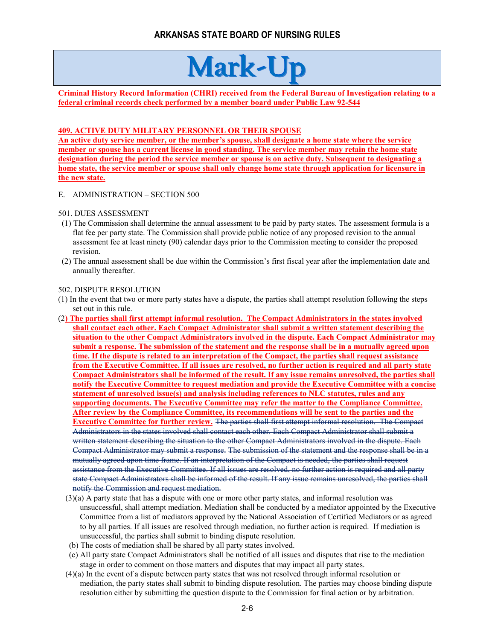# **Mark-Up**

**Criminal History Record Information (CHRI) received from the Federal Bureau of Investigation relating to a federal criminal records check performed by a member board under Public Law 92-544**

# **409. ACTIVE DUTY MILITARY PERSONNEL OR THEIR SPOUSE**

**An active duty service member, or the member's spouse, shall designate a home state where the service member or spouse has a current license in good standing. The service member may retain the home state designation during the period the service member or spouse is on active duty. Subsequent to designating a home state, the service member or spouse shall only change home state through application for licensure in the new state.**

- E. ADMINISTRATION SECTION 500
- 501. DUES ASSESSMENT
- (1) The Commission shall determine the annual assessment to be paid by party states. The assessment formula is a flat fee per party state. The Commission shall provide public notice of any proposed revision to the annual assessment fee at least ninety (90) calendar days prior to the Commission meeting to consider the proposed revision.
- (2) The annual assessment shall be due within the Commission's first fiscal year after the implementation date and annually thereafter.

#### 502. DISPUTE RESOLUTION

- (1) In the event that two or more party states have a dispute, the parties shall attempt resolution following the steps set out in this rule.
- (2**) The parties shall first attempt informal resolution. The Compact Administrators in the states involved shall contact each other. Each Compact Administrator shall submit a written statement describing the situation to the other Compact Administrators involved in the dispute. Each Compact Administrator may submit a response. The submission of the statement and the response shall be in a mutually agreed upon time. If the dispute is related to an interpretation of the Compact, the parties shall request assistance from the Executive Committee. If all issues are resolved, no further action is required and all party state Compact Administrators shall be informed of the result. If any issue remains unresolved, the parties shall notify the Executive Committee to request mediation and provide the Executive Committee with a concise statement of unresolved issue(s) and analysis including references to NLC statutes, rules and any supporting documents. The Executive Committee may refer the matter to the Compliance Committee. After review by the Compliance Committee, its recommendations will be sent to the parties and the Executive Committee for further review.** The parties shall first attempt informal resolution. The Compact Administrators in the states involved shall contact each other. Each Compact Administrator shall submit a written statement describing the situation to the other Compact Administrators involved in the dispute. Each Compact Administrator may submit a response. The submission of the statement and the response shall be in a mutually agreed upon time frame. If an interpretation of the Compact is needed, the parties shall request assistance from the Executive Committee. If all issues are resolved, no further action is required and all party state Compact Administrators shall be informed of the result. If any issue remains unresolved, the parties shall notify the Commission and request mediation.
	- (3)(a) A party state that has a dispute with one or more other party states, and informal resolution was unsuccessful, shall attempt mediation. Mediation shall be conducted by a mediator appointed by the Executive Committee from a list of mediators approved by the National Association of Certified Mediators or as agreed to by all parties. If all issues are resolved through mediation, no further action is required. If mediation is unsuccessful, the parties shall submit to binding dispute resolution.
	- (b) The costs of mediation shall be shared by all party states involved.
	- (c) All party state Compact Administrators shall be notified of all issues and disputes that rise to the mediation stage in order to comment on those matters and disputes that may impact all party states.
	- (4)(a) In the event of a dispute between party states that was not resolved through informal resolution or mediation, the party states shall submit to binding dispute resolution. The parties may choose binding dispute resolution either by submitting the question dispute to the Commission for final action or by arbitration.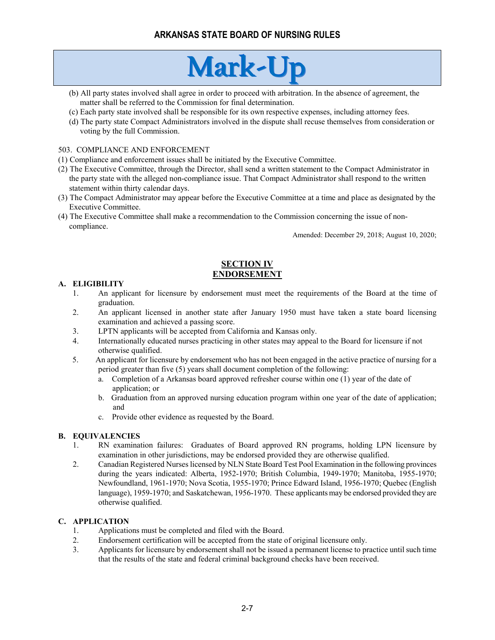# **Mark-Up**

- (b) All party states involved shall agree in order to proceed with arbitration. In the absence of agreement, the matter shall be referred to the Commission for final determination.
- (c) Each party state involved shall be responsible for its own respective expenses, including attorney fees.
- (d) The party state Compact Administrators involved in the dispute shall recuse themselves from consideration or voting by the full Commission.

#### 503. COMPLIANCE AND ENFORCEMENT

- (1) Compliance and enforcement issues shall be initiated by the Executive Committee.
- (2) The Executive Committee, through the Director, shall send a written statement to the Compact Administrator in the party state with the alleged non-compliance issue. That Compact Administrator shall respond to the written statement within thirty calendar days.
- (3) The Compact Administrator may appear before the Executive Committee at a time and place as designated by the Executive Committee.
- (4) The Executive Committee shall make a recommendation to the Commission concerning the issue of noncompliance.

Amended: December 29, 2018; August 10, 2020;

# **SECTION IV ENDORSEMENT**

# **A. ELIGIBILITY**

- 1. An applicant for licensure by endorsement must meet the requirements of the Board at the time of graduation.
- 2. An applicant licensed in another state after January 1950 must have taken a state board licensing examination and achieved a passing score.
- 3. LPTN applicants will be accepted from California and Kansas only.
- 4. Internationally educated nurses practicing in other states may appeal to the Board for licensure if not otherwise qualified.
- 5. An applicant for licensure by endorsement who has not been engaged in the active practice of nursing for a period greater than five (5) years shall document completion of the following:
	- a. Completion of a Arkansas board approved refresher course within one (1) year of the date of application; or
	- b. Graduation from an approved nursing education program within one year of the date of application; and
	- c. Provide other evidence as requested by the Board.

# **B. EQUIVALENCIES**

- 1. RN examination failures: Graduates of Board approved RN programs, holding LPN licensure by examination in other jurisdictions, may be endorsed provided they are otherwise qualified.
- 2. Canadian Registered Nurses licensed by NLN State Board Test Pool Examination in the following provinces during the years indicated: Alberta, 1952-1970; British Columbia, 1949-1970; Manitoba, 1955-1970; Newfoundland, 1961-1970; Nova Scotia, 1955-1970; Prince Edward Island, 1956-1970; Quebec (English language), 1959-1970; and Saskatchewan, 1956-1970. These applicants may be endorsed provided they are otherwise qualified.

# **C. APPLICATION**

- 1. Applications must be completed and filed with the Board.
- 2. Endorsement certification will be accepted from the state of original licensure only.
- 3. Applicants for licensure by endorsement shall not be issued a permanent license to practice until such time that the results of the state and federal criminal background checks have been received.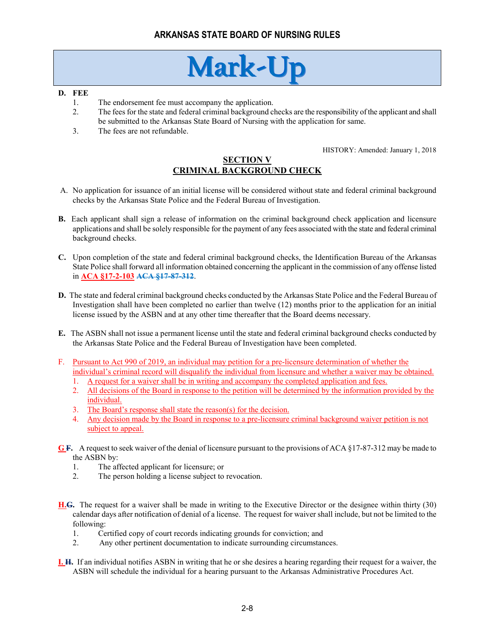# **Mark-Up**

#### **D. FEE**

- 1. The endorsement fee must accompany the application.
- 2. The fees for the state and federal criminal background checks are the responsibility of the applicant and shall be submitted to the Arkansas State Board of Nursing with the application for same.
- 3. The fees are not refundable.

HISTORY: Amended: January 1, 2018

# **SECTION V CRIMINAL BACKGROUND CHECK**

- A. No application for issuance of an initial license will be considered without state and federal criminal background checks by the Arkansas State Police and the Federal Bureau of Investigation.
- **B.** Each applicant shall sign a release of information on the criminal background check application and licensure applications and shall be solely responsible for the payment of any fees associated with the state and federal criminal background checks.
- **C.** Upon completion of the state and federal criminal background checks, the Identification Bureau of the Arkansas State Police shall forward all information obtained concerning the applicant in the commission of any offense listed in **ACA §17-2-103 ACA §17-87-312**.
- **D.** The state and federal criminal background checks conducted by the Arkansas State Police and the Federal Bureau of Investigation shall have been completed no earlier than twelve (12) months prior to the application for an initial license issued by the ASBN and at any other time thereafter that the Board deems necessary.
- **E.** The ASBN shall not issue a permanent license until the state and federal criminal background checks conducted by the Arkansas State Police and the Federal Bureau of Investigation have been completed.
- F. Pursuant to Act 990 of 2019, an individual may petition for a pre-licensure determination of whether the individual's criminal record will disqualify the individual from licensure and whether a waiver may be obtained.
	- 1. A request for a waiver shall be in writing and accompany the completed application and fees.
	- 2. All decisions of the Board in response to the petition will be determined by the information provided by the individual.
	- 3. The Board's response shall state the reason(s) for the decision.
	- 4. Any decision made by the Board in response to a pre-licensure criminal background waiver petition is not subject to appeal.
- **G F.** A request to seek waiver of the denial of licensure pursuant to the provisions of ACA §17-87-312 may be made to the ASBN by:
	- 1. The affected applicant for licensure; or
	- 2. The person holding a license subject to revocation.
- **H.G.** The request for a waiver shall be made in writing to the Executive Director or the designee within thirty (30) calendar days after notification of denial of a license. The request for waiver shall include, but not be limited to the following:
	- 1. Certified copy of court records indicating grounds for conviction; and
	- 2. Any other pertinent documentation to indicate surrounding circumstances.
- **I. H.** If an individual notifies ASBN in writing that he or she desires a hearing regarding their request for a waiver, the ASBN will schedule the individual for a hearing pursuant to the Arkansas Administrative Procedures Act.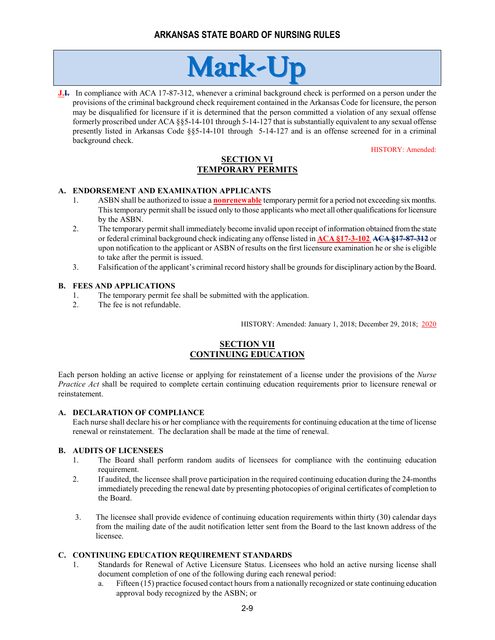

**J.I.** In compliance with ACA 17-87-312, whenever a criminal background check is performed on a person under the provisions of the criminal background check requirement contained in the Arkansas Code for licensure, the person may be disqualified for licensure if it is determined that the person committed a violation of any sexual offense formerly proscribed under ACA §§5-14-101 through 5-14-127 that is substantially equivalent to any sexual offense presently listed in Arkansas Code §§5-14-101 through 5-14-127 and is an offense screened for in a criminal background check.

HISTORY: Amended:

# **SECTION VI TEMPORARY PERMITS**

# **A. ENDORSEMENT AND EXAMINATION APPLICANTS**

- 1. ASBN shall be authorized to issue a **nonrenewable** temporary permit for a period not exceeding six months. This temporary permit shall be issued only to those applicants who meet all other qualifications for licensure by the ASBN.
- 2. The temporary permit shall immediately become invalid upon receipt of information obtained from the state or federal criminal background check indicating any offense listed in **ACA §17-3-102 ACA §17-87-312** or upon notification to the applicant or ASBN of results on the first licensure examination he or she is eligible to take after the permit is issued.
- 3. Falsification of the applicant's criminal record history shall be grounds for disciplinary action by the Board.

### **B. FEES AND APPLICATIONS**

- 1. The temporary permit fee shall be submitted with the application.
- 2. The fee is not refundable.

HISTORY: Amended: January 1, 2018; December 29, 2018; 2020

# **SECTION VII CONTINUING EDUCATION**

Each person holding an active license or applying for reinstatement of a license under the provisions of the *Nurse Practice Act* shall be required to complete certain continuing education requirements prior to licensure renewal or reinstatement.

### **A. DECLARATION OF COMPLIANCE**

Each nurse shall declare his or her compliance with the requirements for continuing education at the time of license renewal or reinstatement. The declaration shall be made at the time of renewal.

### **B. AUDITS OF LICENSEES**

- 1. The Board shall perform random audits of licensees for compliance with the continuing education requirement.
- 2. If audited, the licensee shall prove participation in the required continuing education during the 24-months immediately preceding the renewal date by presenting photocopies of original certificates of completion to the Board.
- 3. The licensee shall provide evidence of continuing education requirements within thirty (30) calendar days from the mailing date of the audit notification letter sent from the Board to the last known address of the licensee.

# **C. CONTINUING EDUCATION REQUIREMENT STANDARDS**

- 1. Standards for Renewal of Active Licensure Status. Licensees who hold an active nursing license shall document completion of one of the following during each renewal period:
	- a. Fifteen (15) practice focused contact hours from a nationally recognized or state continuing education approval body recognized by the ASBN; or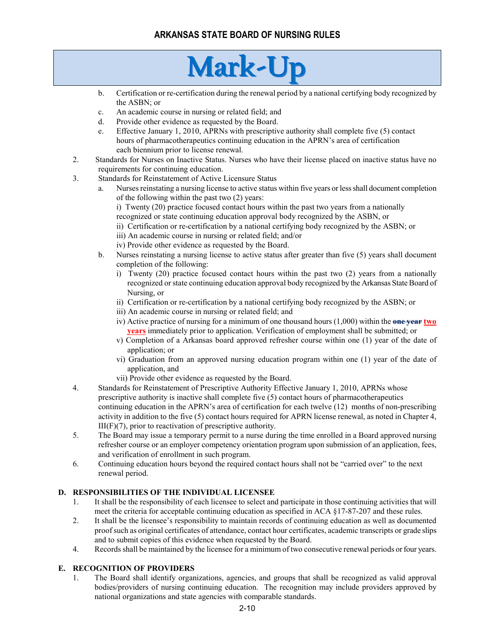# **Mark-Up**

- b. Certification or re-certification during the renewal period by a national certifying body recognized by the ASBN; or
- c. An academic course in nursing or related field; and
- d. Provide other evidence as requested by the Board.
- e. Effective January 1, 2010, APRNs with prescriptive authority shall complete five (5) contact hours of pharmacotherapeutics continuing education in the APRN's area of certification each biennium prior to license renewal.
- 2. Standards for Nurses on Inactive Status. Nurses who have their license placed on inactive status have no requirements for continuing education.
- 3. Standards for Reinstatement of Active Licensure Status
	- a. Nurses reinstating a nursing license to active status within five years or less shall document completion of the following within the past two (2) years:
		- i) Twenty (20) practice focused contact hours within the past two years from a nationally recognized or state continuing education approval body recognized by the ASBN, or
		- ii) Certification or re-certification by a national certifying body recognized by the ASBN; or
		- iii) An academic course in nursing or related field; and/or
		- iv) Provide other evidence as requested by the Board.
	- b. Nurses reinstating a nursing license to active status after greater than five (5) years shall document completion of the following:
		- i) Twenty (20) practice focused contact hours within the past two (2) years from a nationally recognized or state continuing education approval body recognized by the Arkansas State Board of Nursing, or
		- ii) Certification or re-certification by a national certifying body recognized by the ASBN; or
		- iii) An academic course in nursing or related field; and
		- iv) Active practice of nursing for a minimum of one thousand hours (1,000) within the **one year two years** immediately prior to application. Verification of employment shall be submitted; or
		- v) Completion of a Arkansas board approved refresher course within one (1) year of the date of application; or
		- vi) Graduation from an approved nursing education program within one (1) year of the date of application, and
		- vii) Provide other evidence as requested by the Board.
- 4. Standards for Reinstatement of Prescriptive Authority Effective January 1, 2010, APRNs whose prescriptive authority is inactive shall complete five (5) contact hours of pharmacotherapeutics continuing education in the APRN's area of certification for each twelve (12) months of non-prescribing activity in addition to the five (5) contact hours required for APRN license renewal, as noted in Chapter 4, III(F)(7), prior to reactivation of prescriptive authority.
- 5. The Board may issue a temporary permit to a nurse during the time enrolled in a Board approved nursing refresher course or an employer competency orientation program upon submission of an application, fees, and verification of enrollment in such program.
- 6. Continuing education hours beyond the required contact hours shall not be "carried over" to the next renewal period.

# **D. RESPONSIBILITIES OF THE INDIVIDUAL LICENSEE**

- 1. It shall be the responsibility of each licensee to select and participate in those continuing activities that will meet the criteria for acceptable continuing education as specified in ACA §17-87-207 and these rules.
- 2. It shall be the licensee's responsibility to maintain records of continuing education as well as documented proof such as original certificates of attendance, contact hour certificates, academic transcripts or grade slips and to submit copies of this evidence when requested by the Board.
- 4. Records shall be maintained by the licensee for a minimum of two consecutive renewal periods orfour years.

# **E. RECOGNITION OF PROVIDERS**

1. The Board shall identify organizations, agencies, and groups that shall be recognized as valid approval bodies/providers of nursing continuing education. The recognition may include providers approved by national organizations and state agencies with comparable standards.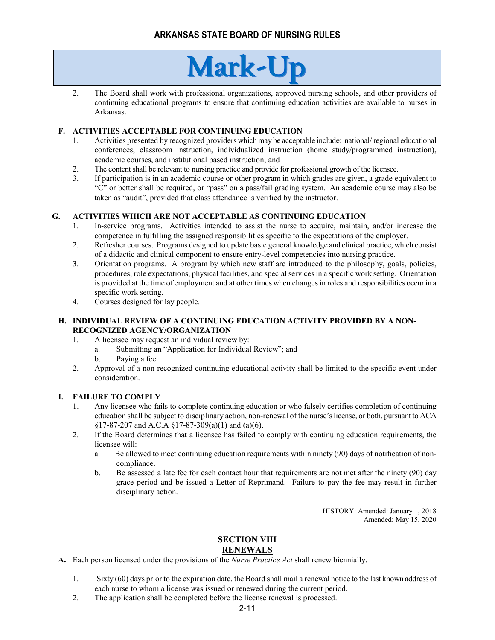# **Mark-Up**

2. The Board shall work with professional organizations, approved nursing schools, and other providers of continuing educational programs to ensure that continuing education activities are available to nurses in Arkansas.

# **F. ACTIVITIES ACCEPTABLE FOR CONTINUING EDUCATION**

- 1. Activities presented by recognized providers which may be acceptable include: national/ regional educational conferences, classroom instruction, individualized instruction (home study/programmed instruction), academic courses, and institutional based instruction; and
- 2. The content shall be relevant to nursing practice and provide for professional growth of the licensee.
- 3. If participation is in an academic course or other program in which grades are given, a grade equivalent to "C" or better shall be required, or "pass" on a pass/fail grading system. An academic course may also be taken as "audit", provided that class attendance is verified by the instructor.

# **G. ACTIVITIES WHICH ARE NOT ACCEPTABLE AS CONTINUING EDUCATION**

- 1. In-service programs. Activities intended to assist the nurse to acquire, maintain, and/or increase the competence in fulfilling the assigned responsibilities specific to the expectations of the employer.
- 2. Refresher courses. Programs designed to update basic general knowledge and clinical practice, which consist of a didactic and clinical component to ensure entry-level competencies into nursing practice.
- 3. Orientation programs. A program by which new staff are introduced to the philosophy, goals, policies, procedures, role expectations, physical facilities, and special services in a specific work setting. Orientation is provided at the time of employment and at other times when changes in roles and responsibilities occur in a specific work setting.
- 4. Courses designed for lay people.

### **H. INDIVIDUAL REVIEW OF A CONTINUING EDUCATION ACTIVITY PROVIDED BY A NON-RECOGNIZED AGENCY/ORGANIZATION**

- 1. A licensee may request an individual review by:
	- a. Submitting an "Application for Individual Review"; and
	- b. Paying a fee.
- 2. Approval of a non-recognized continuing educational activity shall be limited to the specific event under consideration.

# **I. FAILURE TO COMPLY**

- 1. Any licensee who fails to complete continuing education or who falsely certifies completion of continuing education shall be subject to disciplinary action, non-renewal of the nurse's license, or both, pursuant to ACA §17-87-207 and A.C.A §17-87-309(a)(1) and (a)(6).
- 2. If the Board determines that a licensee has failed to comply with continuing education requirements, the licensee will:
	- a. Be allowed to meet continuing education requirements within ninety (90) days of notification of noncompliance.
	- b. Be assessed a late fee for each contact hour that requirements are not met after the ninety (90) day grace period and be issued a Letter of Reprimand. Failure to pay the fee may result in further disciplinary action.

HISTORY: Amended: January 1, 2018 Amended: May 15, 2020

# **SECTION VIII RENEWALS**

- **A.** Each person licensed under the provisions of the *Nurse Practice Act* shall renew biennially.
	- 1. Sixty (60) days prior to the expiration date, the Board shall mail a renewal notice to the last known address of each nurse to whom a license was issued or renewed during the current period.
	- 2. The application shall be completed before the license renewal is processed.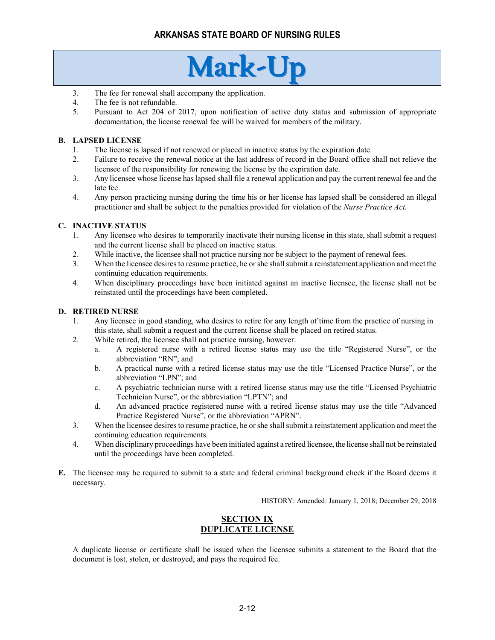# **Mark-Up**

- 3. The fee for renewal shall accompany the application.
- 4. The fee is not refundable.
- 5. Pursuant to Act 204 of 2017, upon notification of active duty status and submission of appropriate documentation, the license renewal fee will be waived for members of the military.

### **B. LAPSED LICENSE**

- 1. The license is lapsed if not renewed or placed in inactive status by the expiration date.
- 2. Failure to receive the renewal notice at the last address of record in the Board office shall not relieve the licensee of the responsibility for renewing the license by the expiration date.
- 3. Any licensee whose license has lapsed shall file a renewal application and pay the current renewal fee and the late fee.
- 4. Any person practicing nursing during the time his or her license has lapsed shall be considered an illegal practitioner and shall be subject to the penalties provided for violation of the *Nurse Practice Act.*

### **C. INACTIVE STATUS**

- 1. Any licensee who desires to temporarily inactivate their nursing license in this state, shall submit a request and the current license shall be placed on inactive status.
- 2. While inactive, the licensee shall not practice nursing nor be subject to the payment of renewal fees.
- 3. When the licensee desires to resume practice, he or she shallsubmit a reinstatement application and meet the continuing education requirements.
- 4. When disciplinary proceedings have been initiated against an inactive licensee, the license shall not be reinstated until the proceedings have been completed.

#### **D. RETIRED NURSE**

- 1. Any licensee in good standing, who desires to retire for any length of time from the practice of nursing in this state, shall submit a request and the current license shall be placed on retired status.
- 2. While retired, the licensee shall not practice nursing, however:
	- a. A registered nurse with a retired license status may use the title "Registered Nurse", or the abbreviation "RN"; and
	- b. A practical nurse with a retired license status may use the title "Licensed Practice Nurse", or the abbreviation "LPN"; and
	- c. A psychiatric technician nurse with a retired license status may use the title "Licensed Psychiatric Technician Nurse", or the abbreviation "LPTN"; and
	- d. An advanced practice registered nurse with a retired license status may use the title "Advanced Practice Registered Nurse", or the abbreviation "APRN".
- 3. When the licensee desires to resume practice, he or she shallsubmit a reinstatement application and meet the continuing education requirements.
- 4. When disciplinary proceedings have been initiated against a retired licensee, the license shall not be reinstated until the proceedings have been completed.
- **E.** The licensee may be required to submit to a state and federal criminal background check if the Board deems it necessary.

HISTORY: Amended: January 1, 2018; December 29, 2018

# **SECTION IX DUPLICATE LICENSE**

A duplicate license or certificate shall be issued when the licensee submits a statement to the Board that the document is lost, stolen, or destroyed, and pays the required fee.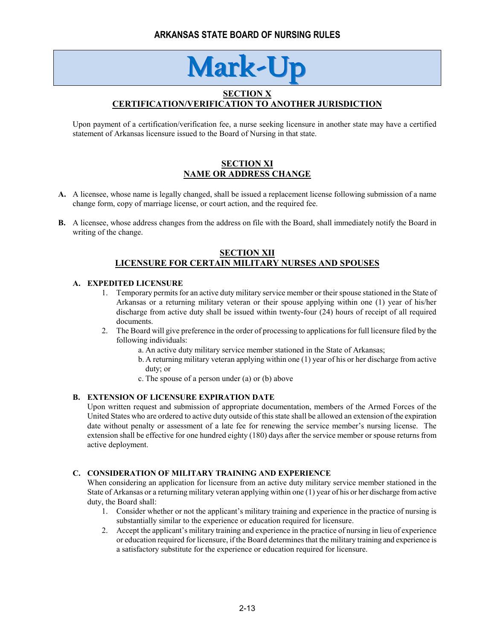# **Mark-U**

# **SECTION X CERTIFICATION/VERIFICATION TO ANOTHER JURISDICTION**

Upon payment of a certification/verification fee, a nurse seeking licensure in another state may have a certified statement of Arkansas licensure issued to the Board of Nursing in that state.

# **SECTION XI NAME OR ADDRESS CHANGE**

- **A.** A licensee, whose name is legally changed, shall be issued a replacement license following submission of a name change form, copy of marriage license, or court action, and the required fee.
- **B.** A licensee, whose address changes from the address on file with the Board, shall immediately notify the Board in writing of the change.

### **SECTION XII LICENSURE FOR CERTAIN MILITARY NURSES AND SPOUSES**

#### **A. EXPEDITED LICENSURE**

- 1. Temporary permits for an active duty military service member or their spouse stationed in the State of Arkansas or a returning military veteran or their spouse applying within one (1) year of his/her discharge from active duty shall be issued within twenty-four (24) hours of receipt of all required documents.
- 2. The Board will give preference in the order of processing to applications for full licensure filed by the following individuals:
	- a. An active duty military service member stationed in the State of Arkansas;
	- b. A returning military veteran applying within one (1) year of his or her discharge from active duty; or
	- c. The spouse of a person under (a) or (b) above

#### **B. EXTENSION OF LICENSURE EXPIRATION DATE**

Upon written request and submission of appropriate documentation, members of the Armed Forces of the United States who are ordered to active duty outside of this state shall be allowed an extension of the expiration date without penalty or assessment of a late fee for renewing the service member's nursing license. The extension shall be effective for one hundred eighty (180) days after the service member or spouse returns from active deployment.

#### **C. CONSIDERATION OF MILITARY TRAINING AND EXPERIENCE**

When considering an application for licensure from an active duty military service member stationed in the State of Arkansas or a returning military veteran applying within one (1) year of his or her discharge from active duty, the Board shall:

- 1. Consider whether or not the applicant's military training and experience in the practice of nursing is substantially similar to the experience or education required for licensure.
- 2. Accept the applicant's military training and experience in the practice of nursing in lieu of experience or education required for licensure, if the Board determines that the military training and experience is a satisfactory substitute for the experience or education required for licensure.